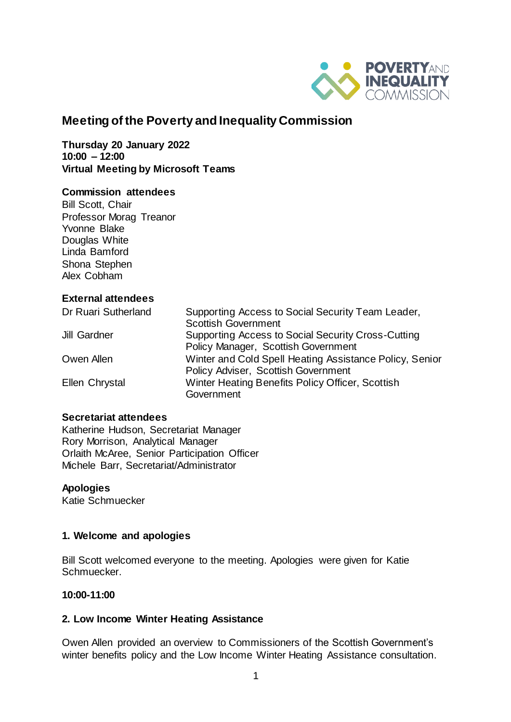

# **Meeting of the Poverty and Inequality Commission**

**Thursday 20 January 2022 10:00 – 12:00 Virtual Meeting by Microsoft Teams** 

### **Commission attendees**

Bill Scott, Chair Professor Morag Treanor Yvonne Blake Douglas White Linda Bamford Shona Stephen Alex Cobham

### **External attendees**

| Dr Ruari Sutherland | Supporting Access to Social Security Team Leader,       |
|---------------------|---------------------------------------------------------|
|                     | <b>Scottish Government</b>                              |
| <b>Jill Gardner</b> | Supporting Access to Social Security Cross-Cutting      |
|                     | Policy Manager, Scottish Government                     |
| Owen Allen          | Winter and Cold Spell Heating Assistance Policy, Senior |
|                     | Policy Adviser, Scottish Government                     |
| Ellen Chrystal      | Winter Heating Benefits Policy Officer, Scottish        |
|                     | Government                                              |

#### **Secretariat attendees**

Katherine Hudson, Secretariat Manager Rory Morrison, Analytical Manager Orlaith McAree, Senior Participation Officer Michele Barr, Secretariat/Administrator

#### **Apologies**

Katie Schmuecker

### **1. Welcome and apologies**

Bill Scott welcomed everyone to the meeting. Apologies were given for Katie Schmuecker.

#### **10:00-11:00**

#### **2. Low Income Winter Heating Assistance**

Owen Allen provided an overview to Commissioners of the Scottish Government's winter benefits policy and the Low Income Winter Heating Assistance consultation.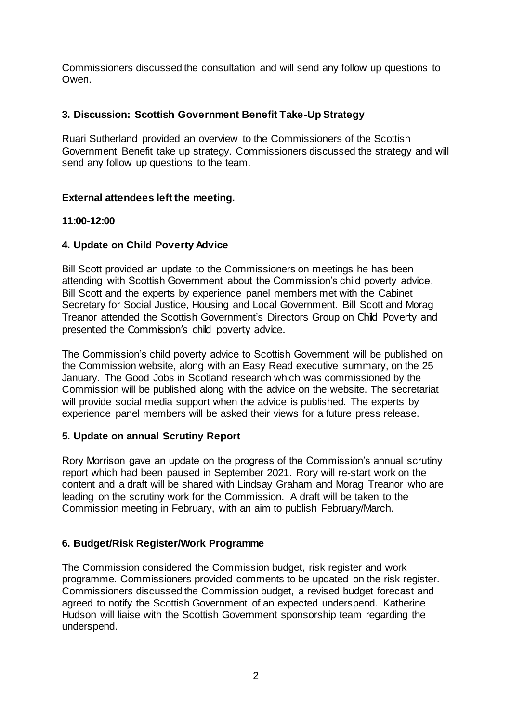Commissioners discussed the consultation and will send any follow up questions to Owen.

# **3. Discussion: Scottish Government Benefit Take-Up Strategy**

Ruari Sutherland provided an overview to the Commissioners of the Scottish Government Benefit take up strategy. Commissioners discussed the strategy and will send any follow up questions to the team.

## **External attendees left the meeting.**

# **11:00-12:00**

### **4. Update on Child Poverty Advice**

Bill Scott provided an update to the Commissioners on meetings he has been attending with Scottish Government about the Commission's child poverty advice. Bill Scott and the experts by experience panel members met with the Cabinet Secretary for Social Justice, Housing and Local Government. Bill Scott and Morag Treanor attended the Scottish Government's Directors Group on Child Poverty and presented the Commission's child poverty advice.

The Commission's child poverty advice to Scottish Government will be published on the Commission website, along with an Easy Read executive summary, on the 25 January. The Good Jobs in Scotland research which was commissioned by the Commission will be published along with the advice on the website. The secretariat will provide social media support when the advice is published. The experts by experience panel members will be asked their views for a future press release.

### **5. Update on annual Scrutiny Report**

Rory Morrison gave an update on the progress of the Commission's annual scrutiny report which had been paused in September 2021. Rory will re-start work on the content and a draft will be shared with Lindsay Graham and Morag Treanor who are leading on the scrutiny work for the Commission. A draft will be taken to the Commission meeting in February, with an aim to publish February/March.

### **6. Budget/Risk Register/Work Programme**

The Commission considered the Commission budget, risk register and work programme. Commissioners provided comments to be updated on the risk register. Commissioners discussed the Commission budget, a revised budget forecast and agreed to notify the Scottish Government of an expected underspend. Katherine Hudson will liaise with the Scottish Government sponsorship team regarding the underspend.